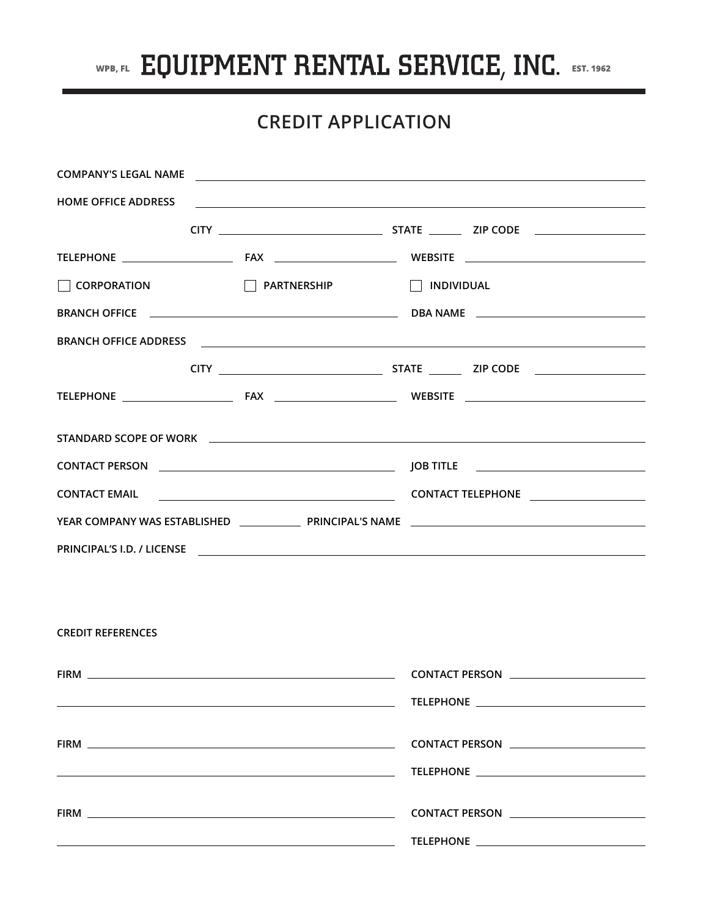

## **CREDIT APPLICATION**

|                          |                                                                                                                        | COMPANY'S LEGAL NAME                                                                                                                                                                                                                 |  |  |
|--------------------------|------------------------------------------------------------------------------------------------------------------------|--------------------------------------------------------------------------------------------------------------------------------------------------------------------------------------------------------------------------------------|--|--|
|                          |                                                                                                                        | HOME OFFICE ADDRESS <b>FOR A PERSON CONTROL</b>                                                                                                                                                                                      |  |  |
|                          |                                                                                                                        |                                                                                                                                                                                                                                      |  |  |
|                          |                                                                                                                        |                                                                                                                                                                                                                                      |  |  |
| $\Box$ CORPORATION       | <b>PARTNERSHIP</b>                                                                                                     | $\Box$ INDIVIDUAL                                                                                                                                                                                                                    |  |  |
|                          |                                                                                                                        |                                                                                                                                                                                                                                      |  |  |
|                          |                                                                                                                        |                                                                                                                                                                                                                                      |  |  |
|                          |                                                                                                                        |                                                                                                                                                                                                                                      |  |  |
|                          |                                                                                                                        |                                                                                                                                                                                                                                      |  |  |
|                          |                                                                                                                        | STANDARD SCOPE OF WORK <b>Andrea Control of the Control of the Control of Control of the Control of Control of Control of Control of Control of Control of Control of Control of Control of Control of Control of Control of Con</b> |  |  |
|                          |                                                                                                                        |                                                                                                                                                                                                                                      |  |  |
|                          |                                                                                                                        |                                                                                                                                                                                                                                      |  |  |
|                          |                                                                                                                        |                                                                                                                                                                                                                                      |  |  |
|                          |                                                                                                                        | PRINCIPAL'S I.D. / LICENSE PRINCIPAL'S I.D. / LICENSE                                                                                                                                                                                |  |  |
|                          |                                                                                                                        |                                                                                                                                                                                                                                      |  |  |
|                          |                                                                                                                        |                                                                                                                                                                                                                                      |  |  |
| <b>CREDIT REFERENCES</b> |                                                                                                                        |                                                                                                                                                                                                                                      |  |  |
|                          |                                                                                                                        |                                                                                                                                                                                                                                      |  |  |
|                          | <u> 1989 - Johann Stoff, deutscher Stoffen und der Stoffen und der Stoffen und der Stoffen und der Stoffen und der</u> |                                                                                                                                                                                                                                      |  |  |
|                          |                                                                                                                        |                                                                                                                                                                                                                                      |  |  |
|                          |                                                                                                                        | CONTACT PERSON <b>CONTACT PERSON</b>                                                                                                                                                                                                 |  |  |
|                          |                                                                                                                        |                                                                                                                                                                                                                                      |  |  |
|                          |                                                                                                                        |                                                                                                                                                                                                                                      |  |  |
|                          | <u> 1989 - Johann Stoff, amerikansk politiker (* 1908)</u>                                                             |                                                                                                                                                                                                                                      |  |  |